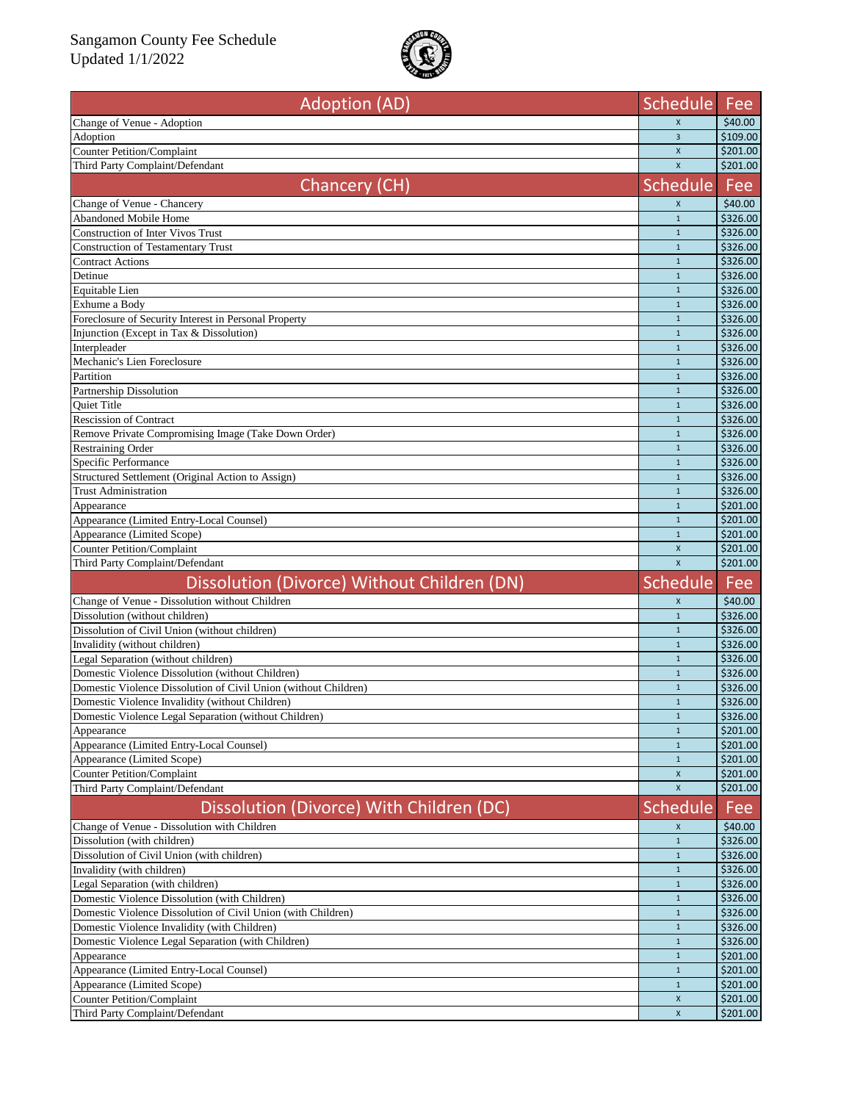

| <b>Adoption (AD)</b>                                            | <b>Schedule</b>              | Fee                                                                              |
|-----------------------------------------------------------------|------------------------------|----------------------------------------------------------------------------------|
| Change of Venue - Adoption                                      | $\pmb{\chi}$                 | \$40.00                                                                          |
| Adoption                                                        | $\overline{3}$               | \$109.00                                                                         |
| <b>Counter Petition/Complaint</b>                               | $\pmb{\chi}$                 | \$201.00                                                                         |
| Third Party Complaint/Defendant                                 | $\mathsf{x}$                 | \$201.00                                                                         |
| Chancery (CH)                                                   | <b>Schedule</b>              | Fee                                                                              |
| Change of Venue - Chancery                                      | X                            | \$40.00                                                                          |
| Abandoned Mobile Home                                           | $\mathbf{1}$                 | \$326.00                                                                         |
| <b>Construction of Inter Vivos Trust</b>                        | $1\,$                        | \$326.00                                                                         |
| <b>Construction of Testamentary Trust</b>                       | $\mathbf{1}$                 | \$326.00                                                                         |
| <b>Contract Actions</b>                                         | $\mathbf{1}$                 | \$326.00                                                                         |
| Detinue                                                         | $\mathbf{1}$                 | \$326.00                                                                         |
| Equitable Lien                                                  | $\mathbf{1}$                 | \$326.00                                                                         |
| Exhume a Body                                                   | $\mathbf{1}$                 | \$326.00                                                                         |
| Foreclosure of Security Interest in Personal Property           | $\mathbf{1}$                 | \$326.00                                                                         |
| Injunction (Except in Tax & Dissolution)                        | $1\,$                        | \$326.00                                                                         |
| Interpleader                                                    | $\mathbf{1}$                 | \$326.00                                                                         |
| Mechanic's Lien Foreclosure                                     | $\mathbf{1}$                 | \$326.00                                                                         |
| Partition                                                       | $\mathbf{1}$                 | \$326.00                                                                         |
| Partnership Dissolution<br><b>Ouiet Title</b>                   | $\mathbf{1}$<br>$\mathbf{1}$ | \$326.00<br>\$326.00                                                             |
| <b>Rescission of Contract</b>                                   | $\mathbf{1}$                 | \$326.00                                                                         |
| Remove Private Compromising Image (Take Down Order)             | $\mathbf{1}$                 | \$326.00                                                                         |
| <b>Restraining Order</b>                                        | $\mathbf{1}$                 | \$326.00                                                                         |
| Specific Performance                                            | $\mathbf{1}$                 | \$326.00                                                                         |
| Structured Settlement (Original Action to Assign)               | $\mathbf{1}$                 | \$326.00                                                                         |
| <b>Trust Administration</b>                                     | $\mathbf{1}$                 | \$326.00                                                                         |
| Appearance                                                      | $\mathbf{1}$                 | \$201.00                                                                         |
| Appearance (Limited Entry-Local Counsel)                        | $\mathbf{1}$                 | \$201.00                                                                         |
| Appearance (Limited Scope)                                      | $\mathbf{1}$                 | \$201.00                                                                         |
|                                                                 |                              |                                                                                  |
| <b>Counter Petition/Complaint</b>                               | $\mathsf{x}$                 |                                                                                  |
| Third Party Complaint/Defendant                                 | $\mathsf{x}$                 | \$201.00                                                                         |
| Dissolution (Divorce) Without Children (DN)                     | <b>Schedule</b>              | Fee                                                                              |
| Change of Venue - Dissolution without Children                  | $\mathsf{X}$                 | \$40.00                                                                          |
| Dissolution (without children)                                  | $\mathbf{1}$                 |                                                                                  |
| Dissolution of Civil Union (without children)                   | $\mathbf{1}$                 |                                                                                  |
| Invalidity (without children)                                   | $\mathbf{1}$                 |                                                                                  |
| Legal Separation (without children)                             | $\mathbf{1}$                 |                                                                                  |
| Domestic Violence Dissolution (without Children)                | $\mathbf{1}$                 |                                                                                  |
| Domestic Violence Dissolution of Civil Union (without Children) | $\mathbf{1}$                 | \$201.00<br>\$326.00<br>\$326.00<br>\$326.00<br>\$326.00<br>\$326.00<br>\$326.00 |
| Domestic Violence Invalidity (without Children)                 | $\mathbf{1}$                 | \$326.00                                                                         |
| Domestic Violence Legal Separation (without Children)           |                              | \$326.00                                                                         |
| Appearance                                                      | $\mathbf{1}$                 |                                                                                  |
| Appearance (Limited Entry-Local Counsel)                        | $\mathbf{1}$                 |                                                                                  |
| Appearance (Limited Scope)                                      | $\mathbf{1}$                 | \$201.00<br>\$201.00<br>\$201.00                                                 |
| <b>Counter Petition/Complaint</b>                               | X                            |                                                                                  |
| Third Party Complaint/Defendant                                 | X                            |                                                                                  |
| Dissolution (Divorce) With Children (DC)                        | <b>Schedule</b>              | Fee                                                                              |
| Change of Venue - Dissolution with Children                     | X                            | \$201.00<br>\$201.00<br>\$40.00                                                  |
| Dissolution (with children)                                     | $\mathbf{1}$                 |                                                                                  |
| Dissolution of Civil Union (with children)                      | $\mathbf{1}$                 |                                                                                  |
| Invalidity (with children)                                      | $\mathbf{1}$                 |                                                                                  |
| Legal Separation (with children)                                | $\mathbf{1}$                 |                                                                                  |
| Domestic Violence Dissolution (with Children)                   | $\mathbf{1}$                 |                                                                                  |
| Domestic Violence Dissolution of Civil Union (with Children)    | $\mathbf{1}$                 |                                                                                  |
| Domestic Violence Invalidity (with Children)                    | $\mathbf{1}$<br>$\mathbf{1}$ | \$326.00<br>\$326.00<br>\$326.00<br>\$326.00<br>\$326.00<br>\$326.00<br>\$326.00 |
| Domestic Violence Legal Separation (with Children)              | $\mathbf{1}$                 | \$326.00                                                                         |
| Appearance<br>Appearance (Limited Entry-Local Counsel)          | $\mathbf{1}$                 | \$201.00<br>\$201.00                                                             |
| Appearance (Limited Scope)                                      | $\mathbf{1}$                 |                                                                                  |
| <b>Counter Petition/Complaint</b>                               | X                            | \$201.00<br>\$201.00                                                             |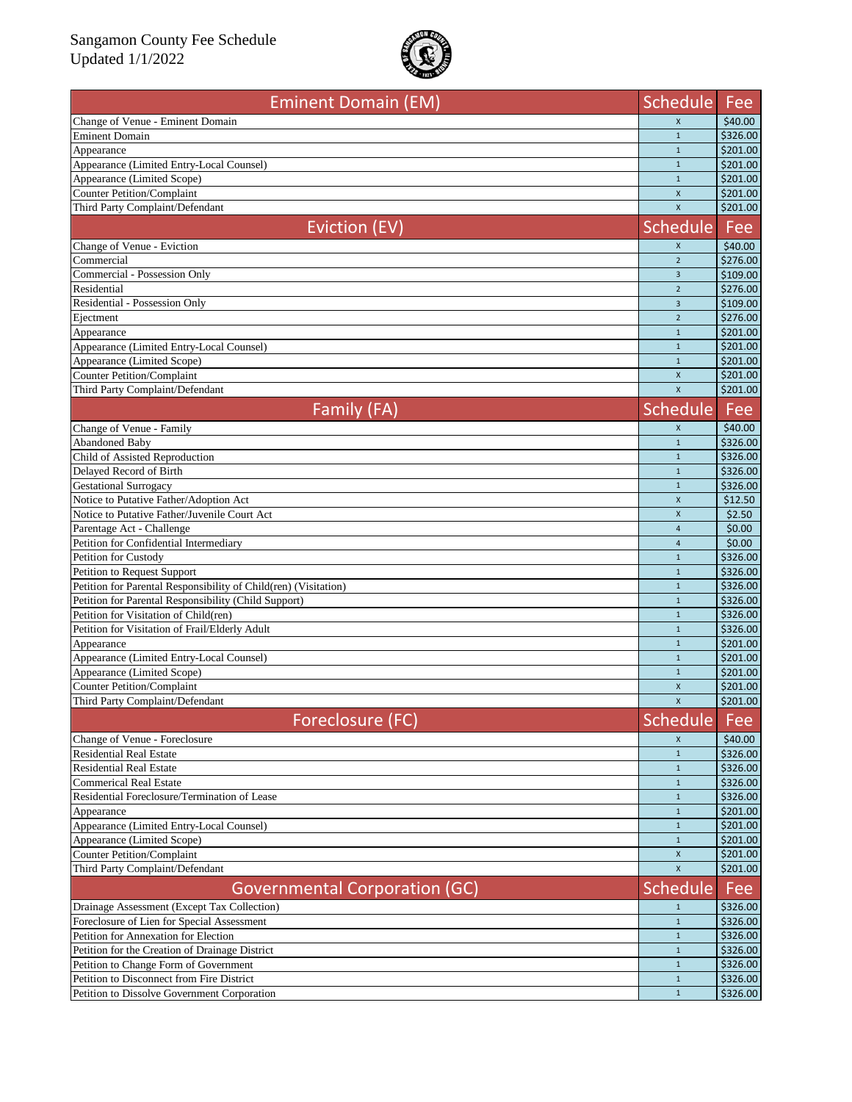

| <b>Eminent Domain (EM)</b>                                                                    | Schedule                     | Fee                  |
|-----------------------------------------------------------------------------------------------|------------------------------|----------------------|
| Change of Venue - Eminent Domain                                                              | $\pmb{\times}$               | \$40.00              |
| <b>Eminent Domain</b>                                                                         | $\mathbf{1}$                 | \$326.00             |
| Appearance                                                                                    | $\mathbf{1}$                 | \$201.00             |
| Appearance (Limited Entry-Local Counsel)                                                      | $\mathbf{1}$                 | \$201.00             |
| Appearance (Limited Scope)                                                                    | $\mathbf{1}$                 | \$201.00             |
| <b>Counter Petition/Complaint</b>                                                             | $\mathsf{x}$<br>X            | \$201.00<br>\$201.00 |
| Third Party Complaint/Defendant                                                               |                              |                      |
| Eviction (EV)                                                                                 | <b>Schedule</b>              | Fee                  |
| Change of Venue - Eviction                                                                    | X                            | \$40.00              |
| Commercial                                                                                    | $\overline{2}$               | \$276.00             |
| Commercial - Possession Only                                                                  | $\overline{3}$               | \$109.00             |
| Residential                                                                                   | $\overline{2}$               | \$276.00             |
| Residential - Possession Only                                                                 | $\overline{3}$               | \$109.00             |
| Ejectment                                                                                     | $\overline{2}$               | \$276.00             |
| Appearance                                                                                    | $\mathbf{1}$                 | \$201.00             |
| Appearance (Limited Entry-Local Counsel)                                                      | $\mathbf{1}$                 | \$201.00             |
| Appearance (Limited Scope)                                                                    | $\mathbf{1}$                 | \$201.00             |
| <b>Counter Petition/Complaint</b>                                                             | $\pmb{\times}$               | \$201.00             |
| Third Party Complaint/Defendant                                                               | $\mathsf{x}$                 | \$201.00             |
| Family (FA)                                                                                   | <b>Schedule</b>              | Fee                  |
| Change of Venue - Family                                                                      | $\pmb{\times}$               | \$40.00              |
| Abandoned Baby                                                                                | $\mathbf{1}$                 | \$326.00             |
| Child of Assisted Reproduction                                                                | $\mathbf{1}$                 | \$326.00             |
| Delayed Record of Birth                                                                       | $\mathbf{1}$                 | \$326.00             |
| <b>Gestational Surrogacy</b>                                                                  | $\mathbf{1}$                 | \$326.00             |
| Notice to Putative Father/Adoption Act                                                        | $\pmb{\times}$               | \$12.50              |
| Notice to Putative Father/Juvenile Court Act                                                  | $\pmb{\times}$               | \$2.50               |
| Parentage Act - Challenge                                                                     | $\overline{4}$               | \$0.00               |
| Petition for Confidential Intermediary                                                        | $\overline{4}$               | \$0.00               |
| <b>Petition for Custody</b>                                                                   | $\mathbf{1}$                 | \$326.00             |
| Petition to Request Support                                                                   | $\mathbf{1}$                 | \$326.00             |
| Petition for Parental Responsibility of Child(ren) (Visitation)                               | $\mathbf{1}$<br>$\mathbf{1}$ | \$326.00             |
| Petition for Parental Responsibility (Child Support)<br>Petition for Visitation of Child(ren) | $\mathbf{1}$                 | \$326.00             |
| Petition for Visitation of Frail/Elderly Adult                                                | $\mathbf{1}$                 | \$326.00<br>\$326.00 |
| Appearance                                                                                    | $\mathbf{1}$                 | \$201.00             |
| Appearance (Limited Entry-Local Counsel)                                                      | $\mathbf{1}$                 | \$201.00             |
| Appearance (Limited Scope)                                                                    | $1\,$                        | \$201.00             |
| <b>Counter Petition/Complaint</b>                                                             | $\pmb{\times}$               | \$201.00             |
| Third Party Complaint/Defendant                                                               | $\pmb{\times}$               | \$201.00             |
|                                                                                               |                              |                      |
| Foreclosure (FC)                                                                              | <b>Schedule</b>              | Fee                  |
| Change of Venue - Foreclosure                                                                 | X                            | \$40.00              |
| <b>Residential Real Estate</b>                                                                | $\mathbf{1}$                 | \$326.00             |
| <b>Residential Real Estate</b>                                                                | $\mathbf{1}$                 | \$326.00             |
| <b>Commerical Real Estate</b><br>Residential Foreclosure/Termination of Lease                 | $\mathbf{1}$<br>$\mathbf{1}$ | \$326.00<br>\$326.00 |
| Appearance                                                                                    | $\mathbf{1}$                 | \$201.00             |
| Appearance (Limited Entry-Local Counsel)                                                      | $\mathbf{1}$                 | \$201.00             |
| Appearance (Limited Scope)                                                                    | $\mathbf{1}$                 | \$201.00             |
| <b>Counter Petition/Complaint</b>                                                             | $\pmb{\times}$               | \$201.00             |
| Third Party Complaint/Defendant                                                               | $\mathsf{x}$                 | \$201.00             |
| <b>Governmental Corporation (GC)</b>                                                          | <b>Schedule</b>              | Fee                  |
| Drainage Assessment (Except Tax Collection)                                                   | $\mathbf{1}$                 | \$326.00             |
| Foreclosure of Lien for Special Assessment                                                    | $\mathbf{1}$                 | \$326.00             |
| <b>Petition for Annexation for Election</b>                                                   | $\mathbf{1}$                 | \$326.00             |
| Petition for the Creation of Drainage District                                                | $\mathbf{1}$                 | \$326.00             |
| Petition to Change Form of Government                                                         | $\mathbf{1}$                 | \$326.00             |
| Petition to Disconnect from Fire District                                                     | $\mathbf{1}$                 | \$326.00             |
| Petition to Dissolve Government Corporation                                                   | $\mathbf{1}$                 | \$326.00             |
|                                                                                               |                              |                      |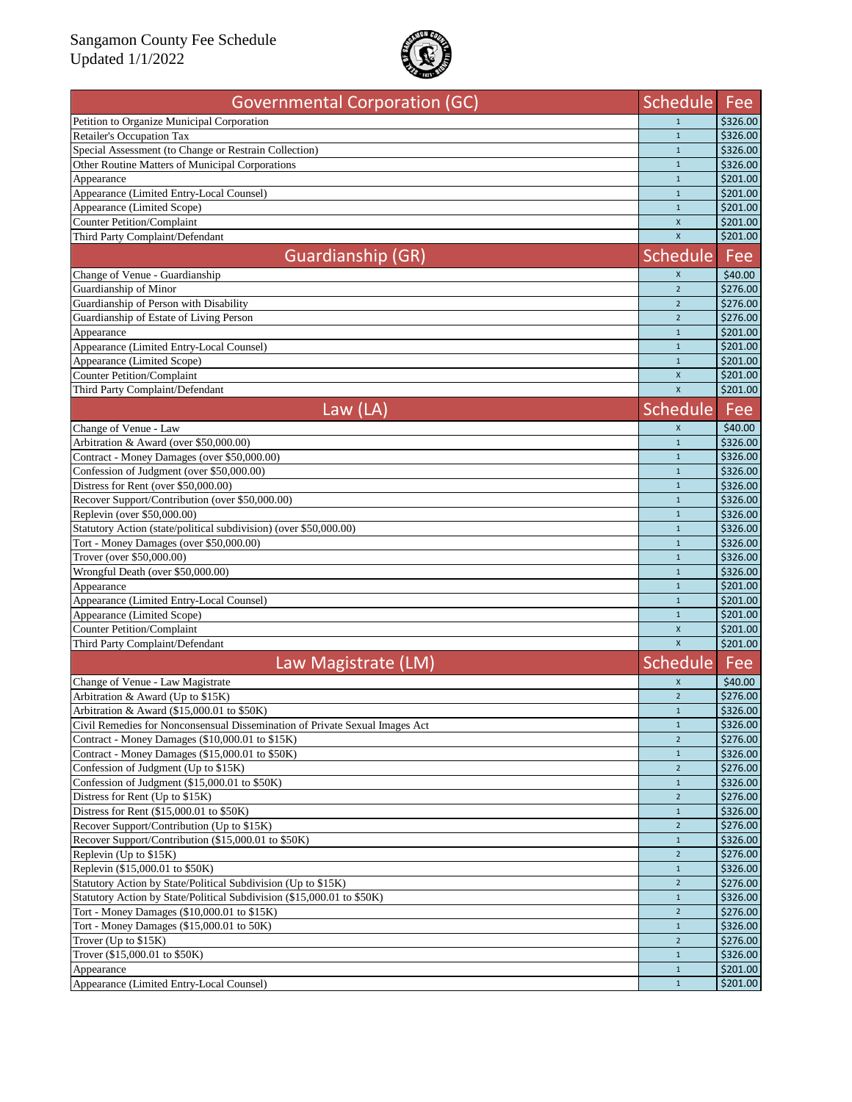

| <b>Governmental Corporation (GC)</b>                                                              | <b>Schedule</b>                | Fee                  |
|---------------------------------------------------------------------------------------------------|--------------------------------|----------------------|
| Petition to Organize Municipal Corporation                                                        | $\mathbf{1}$                   | \$326.00             |
| <b>Retailer's Occupation Tax</b>                                                                  | $\mathbf{1}$                   | \$326.00             |
| Special Assessment (to Change or Restrain Collection)                                             | $\mathbf{1}$                   | \$326.00             |
| Other Routine Matters of Municipal Corporations                                                   | $\mathbf 1$                    | \$326.00             |
| Appearance                                                                                        | $\mathbf{1}$                   | \$201.00             |
| Appearance (Limited Entry-Local Counsel)                                                          | $\mathbf{1}$                   | \$201.00             |
| Appearance (Limited Scope)                                                                        | $\mathbf{1}$                   | \$201.00             |
| <b>Counter Petition/Complaint</b>                                                                 | $\mathsf{x}$                   | \$201.00             |
| Third Party Complaint/Defendant                                                                   | $\mathsf{x}$                   | \$201.00             |
| Guardianship (GR)                                                                                 | <b>Schedule</b>                | Fee                  |
| Change of Venue - Guardianship                                                                    | $\mathsf{X}$                   | \$40.00              |
| Guardianship of Minor                                                                             | $\overline{2}$                 | \$276.00             |
| Guardianship of Person with Disability                                                            | $\overline{2}$                 | \$276.00             |
| Guardianship of Estate of Living Person                                                           | $\overline{2}$                 | \$276.00             |
| Appearance                                                                                        | $1\,$                          | \$201.00             |
| Appearance (Limited Entry-Local Counsel)                                                          | $1\,$                          | \$201.00             |
| Appearance (Limited Scope)                                                                        | $\mathbf{1}$                   | \$201.00             |
| <b>Counter Petition/Complaint</b>                                                                 | $\pmb{\times}$                 | \$201.00             |
| Third Party Complaint/Defendant                                                                   | $\mathsf{x}$                   | \$201.00             |
| Law $(LA)$                                                                                        | Schedule                       | Fee                  |
|                                                                                                   |                                |                      |
| Change of Venue - Law                                                                             | $\boldsymbol{X}$               | \$40.00              |
| Arbitration & Award (over \$50,000.00)                                                            | $\mathbf{1}$                   | \$326.00             |
| Contract - Money Damages (over \$50,000.00)                                                       | $\mathbf{1}$                   | \$326.00             |
| Confession of Judgment (over \$50,000.00)                                                         | $\mathbf{1}$                   | \$326.00             |
| Distress for Rent (over \$50,000.00)                                                              | $\mathbf{1}$                   | \$326.00             |
| Recover Support/Contribution (over \$50,000.00)                                                   | $\mathbf 1$                    | \$326.00             |
| Replevin (over \$50,000.00)                                                                       | $\mathbf{1}$                   | \$326.00             |
| Statutory Action (state/political subdivision) (over \$50,000.00)                                 | $\mathbf{1}$                   | \$326.00             |
| Tort - Money Damages (over \$50,000.00)                                                           | $\mathbf{1}$                   | \$326.00             |
| Trover (over \$50,000.00)<br>Wrongful Death (over \$50,000.00)                                    | $\mathbf 1$<br>$\mathbf{1}$    | \$326.00             |
|                                                                                                   |                                | \$326.00<br>\$201.00 |
| Appearance<br>Appearance (Limited Entry-Local Counsel)                                            | $\mathbf{1}$<br>$\mathbf{1}$   | \$201.00             |
| Appearance (Limited Scope)                                                                        | $\mathbf 1$                    | \$201.00             |
| <b>Counter Petition/Complaint</b>                                                                 | $\mathsf{x}$                   | \$201.00             |
| Third Party Complaint/Defendant                                                                   | $\mathsf{x}$                   | \$201.00             |
|                                                                                                   |                                |                      |
| Law Magistrate (LM)                                                                               | <b>Schedule</b>                | Fee                  |
| Change of Venue - Law Magistrate                                                                  | X                              | \$40.00              |
| Arbitration & Award (Up to \$15K)                                                                 | $\overline{2}$                 | \$276.00             |
| Arbitration & Award (\$15,000.01 to \$50K)                                                        | $\mathbf{1}$                   | \$326.00             |
| Civil Remedies for Nonconsensual Dissemination of Private Sexual Images Act                       | $\mathbf{1}$                   | \$326.00             |
| Contract - Money Damages (\$10,000.01 to \$15K)                                                   | $\overline{2}$                 | \$276.00             |
| Contract - Money Damages (\$15,000.01 to \$50K)                                                   | $\mathbf{1}$                   | \$326.00             |
| Confession of Judgment (Up to \$15K)                                                              | $\overline{2}$<br>$\mathbf{1}$ | \$276.00<br>\$326.00 |
| Confession of Judgment (\$15,000.01 to \$50K)                                                     | $2^{\circ}$                    | \$276.00             |
| Distress for Rent (Up to \$15K)                                                                   |                                |                      |
| Distress for Rent (\$15,000.01 to \$50K)                                                          | $\mathbf{1}$                   | \$326.00             |
| Recover Support/Contribution (Up to \$15K)<br>Recover Support/Contribution (\$15,000.01 to \$50K) | $\overline{2}$                 | \$276.00             |
|                                                                                                   | $1\,$                          | \$326.00<br>\$276.00 |
| Replevin (Up to \$15K)                                                                            | $2^{\circ}$                    |                      |
| Replevin (\$15,000.01 to \$50K)                                                                   | $\mathbf{1}$                   | \$326.00             |
| Statutory Action by State/Political Subdivision (Up to \$15K)                                     | $\overline{2}$<br>$\mathbf{1}$ | \$276.00             |
| Statutory Action by State/Political Subdivision (\$15,000.01 to \$50K)                            | $\overline{2}$                 | \$326.00             |
| Tort - Money Damages (\$10,000.01 to \$15K)<br>Tort - Money Damages (\$15,000.01 to 50K)          |                                | \$276.00             |
|                                                                                                   | $\mathbf{1}$<br>$\overline{2}$ | \$326.00             |
| Trover (Up to \$15K)<br>Trover (\$15,000.01 to \$50K)                                             | $\mathbf{1}$                   | \$276.00<br>\$326.00 |
|                                                                                                   | $\mathbf{1}$                   | \$201.00             |
| Appearance<br>Appearance (Limited Entry-Local Counsel)                                            | $\mathbf{1}$                   | \$201.00             |
|                                                                                                   |                                |                      |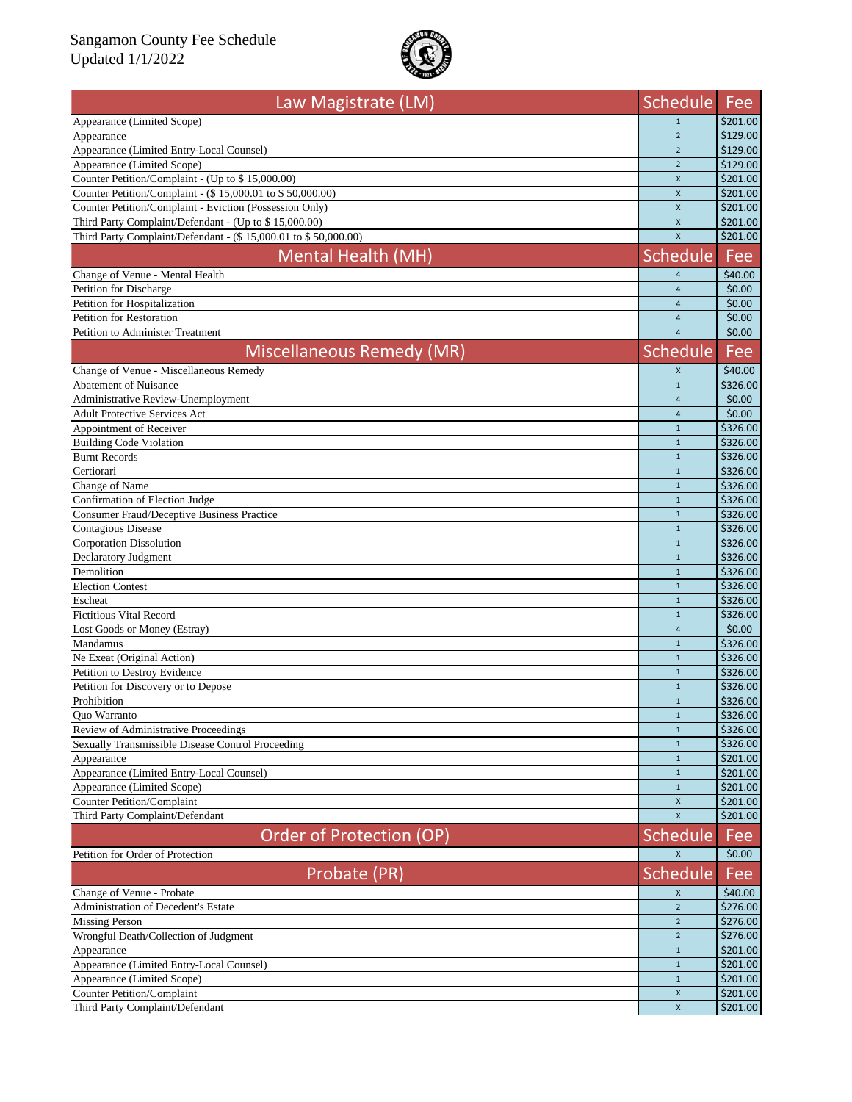

| Law Magistrate (LM)                                              | <b>Schedule</b> | Fee        |
|------------------------------------------------------------------|-----------------|------------|
| Appearance (Limited Scope)                                       | $\mathbf{1}$    | \$201.00   |
| Appearance                                                       | $\overline{2}$  | \$129.00   |
| Appearance (Limited Entry-Local Counsel)                         | $\overline{2}$  | \$129.00   |
| Appearance (Limited Scope)                                       | $\overline{2}$  | \$129.00   |
| Counter Petition/Complaint - (Up to \$15,000.00)                 | $\mathsf{x}$    | \$201.00   |
| Counter Petition/Complaint - (\$15,000.01 to \$50,000.00)        | $\pmb{\times}$  | \$201.00   |
| Counter Petition/Complaint - Eviction (Possession Only)          | $\mathsf{x}$    | \$201.00   |
| Third Party Complaint/Defendant - (Up to \$15,000.00)            | $\mathsf{x}$    | \$201.00   |
| Third Party Complaint/Defendant - (\$ 15,000.01 to \$ 50,000.00) | $\mathsf{x}$    | \$201.00   |
| Mental Health (MH)                                               | <b>Schedule</b> | <b>Fee</b> |
| Change of Venue - Mental Health                                  | $\overline{4}$  | \$40.00    |
| Petition for Discharge                                           | $\overline{4}$  | \$0.00     |
| Petition for Hospitalization                                     | $\overline{4}$  | \$0.00     |
| Petition for Restoration                                         | $\overline{4}$  | \$0.00     |
| <b>Petition to Administer Treatment</b>                          | $\overline{4}$  | \$0.00     |
| <b>Miscellaneous Remedy (MR)</b>                                 | <b>Schedule</b> | Fee        |
| Change of Venue - Miscellaneous Remedy                           | $\pmb{\times}$  | \$40.00    |
| <b>Abatement of Nuisance</b>                                     | $\mathbf{1}$    | \$326.00   |
| Administrative Review-Unemployment                               | $\overline{4}$  | \$0.00     |
| <b>Adult Protective Services Act</b>                             | $\overline{4}$  | \$0.00     |
| Appointment of Receiver                                          | $\mathbf{1}$    | \$326.00   |
| <b>Building Code Violation</b>                                   | $\mathbf{1}$    | \$326.00   |
| <b>Burnt Records</b>                                             | $\mathbf{1}$    | \$326.00   |
| Certiorari                                                       | $\mathbf{1}$    | \$326.00   |
| Change of Name                                                   | $\mathbf{1}$    | \$326.00   |
| Confirmation of Election Judge                                   | $\mathbf{1}$    | \$326.00   |
| <b>Consumer Fraud/Deceptive Business Practice</b>                | $\mathbf{1}$    | \$326.00   |
| <b>Contagious Disease</b>                                        | $\mathbf{1}$    | \$326.00   |
| Corporation Dissolution                                          | $\mathbf{1}$    | \$326.00   |
| Declaratory Judgment                                             | $\mathbf{1}$    | \$326.00   |
| Demolition                                                       | $\mathbf{1}$    | \$326.00   |
| <b>Election Contest</b>                                          | $\mathbf{1}$    | \$326.00   |
| Escheat                                                          | $\mathbf{1}$    | \$326.00   |
| <b>Fictitious Vital Record</b>                                   | $\overline{1}$  | \$326.00   |
| Lost Goods or Money (Estray)                                     | $\overline{4}$  | \$0.00     |
| Mandamus                                                         | $\mathbf{1}$    | \$326.00   |
| Ne Exeat (Original Action)                                       | $\mathbf{1}$    | \$326.00   |
| Petition to Destroy Evidence                                     | $\overline{1}$  | \$326.00   |
| Petition for Discovery or to Depose                              | $\overline{1}$  | \$326.00   |
| Prohibition                                                      | $\mathbf{1}$    | \$326.00   |
| Quo Warranto                                                     | 1               | \$326.00   |
| Review of Administrative Proceedings                             | $\mathbf{1}$    | \$326.00   |
| Sexually Transmissible Disease Control Proceeding                | $\mathbf{1}$    | \$326.00   |
| Appearance                                                       | $\mathbf{1}$    | \$201.00   |
| Appearance (Limited Entry-Local Counsel)                         | $\mathbf{1}$    | \$201.00   |
| Appearance (Limited Scope)                                       | $\mathbf{1}$    | \$201.00   |
| <b>Counter Petition/Complaint</b>                                | X               | \$201.00   |
| Third Party Complaint/Defendant                                  | $\mathsf{x}$    | \$201.00   |
| Order of Protection (OP)                                         | <b>Schedule</b> | Fee        |
| Petition for Order of Protection                                 | $\mathsf{X}$    | \$0.00     |
| Probate (PR)                                                     | <b>Schedule</b> | Fee        |
| Change of Venue - Probate                                        | X               | \$40.00    |
| Administration of Decedent's Estate                              | $\overline{2}$  | \$276.00   |
| <b>Missing Person</b>                                            | $\overline{2}$  | \$276.00   |
| Wrongful Death/Collection of Judgment                            | $\overline{2}$  | \$276.00   |
| Appearance                                                       | $\mathbf 1$     | \$201.00   |
| Appearance (Limited Entry-Local Counsel)                         | $\mathbf 1$     | \$201.00   |
| Appearance (Limited Scope)                                       | $\mathbf{1}$    | \$201.00   |
| <b>Counter Petition/Complaint</b>                                | $\mathsf X$     | \$201.00   |
| Third Party Complaint/Defendant                                  | $\mathsf X$     | \$201.00   |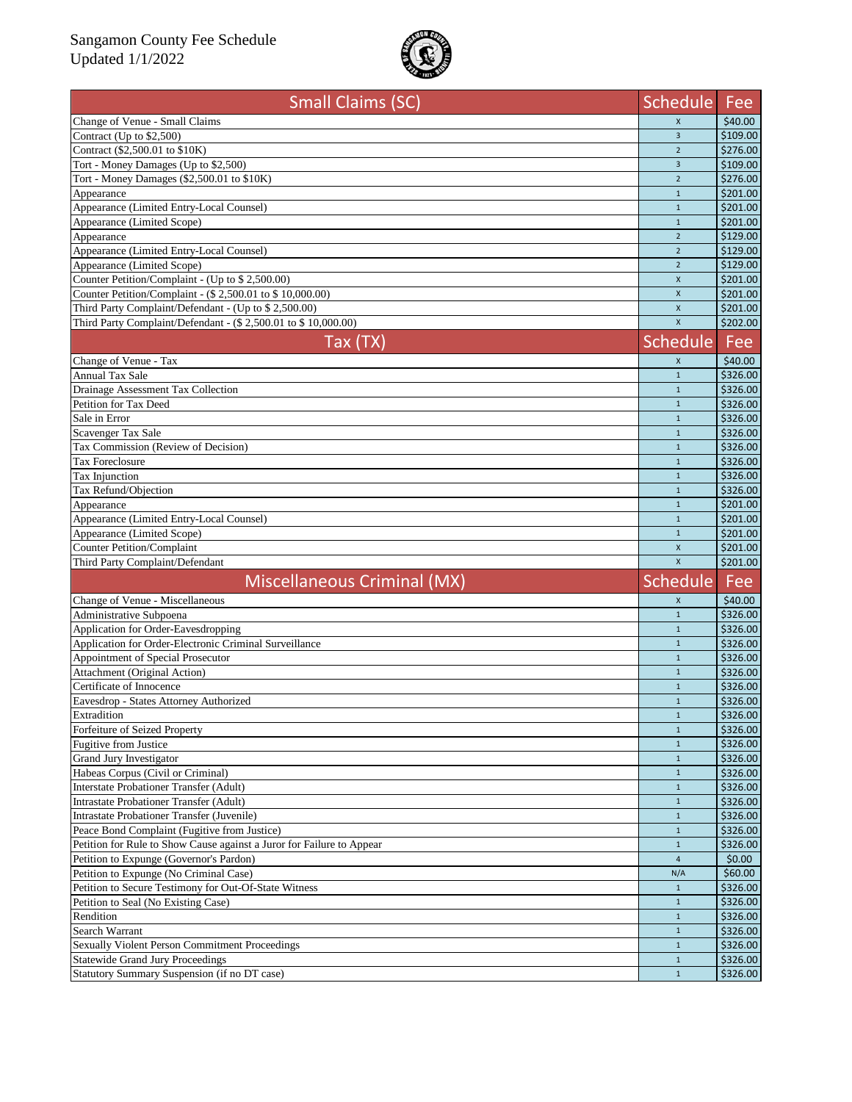

| <b>Small Claims (SC)</b>                                              | <b>Schedule</b>    | Fee      |
|-----------------------------------------------------------------------|--------------------|----------|
| Change of Venue - Small Claims                                        | $\mathsf{X}$       | \$40.00  |
| Contract (Up to \$2,500)                                              | $\overline{3}$     | \$109.00 |
| Contract (\$2,500.01 to \$10K)                                        | $\overline{2}$     | \$276.00 |
| Tort - Money Damages (Up to \$2,500)                                  | $\overline{3}$     | \$109.00 |
| Tort - Money Damages (\$2,500.01 to \$10K)                            | $\overline{2}$     | \$276.00 |
| Appearance                                                            | $\mathbf{1}$       | \$201.00 |
| Appearance (Limited Entry-Local Counsel)                              | $\mathbf{1}$       | \$201.00 |
| Appearance (Limited Scope)                                            | $\mathbf{1}$       | \$201.00 |
| Appearance                                                            | $\overline{2}$     | \$129.00 |
| Appearance (Limited Entry-Local Counsel)                              | $\overline{2}$     | \$129.00 |
| Appearance (Limited Scope)                                            | $\overline{2}$     | \$129.00 |
| Counter Petition/Complaint - (Up to \$ 2,500.00)                      | $\mathsf{x}$       | \$201.00 |
| Counter Petition/Complaint - (\$ 2,500.01 to \$ 10,000.00)            | $\pmb{\mathsf{X}}$ | \$201.00 |
| Third Party Complaint/Defendant - (Up to \$ 2,500.00)                 | $\pmb{\times}$     | \$201.00 |
| Third Party Complaint/Defendant - (\$ 2,500.01 to \$ 10,000.00)       | $\mathsf{x}$       | \$202.00 |
| Tax (TX)                                                              | <b>Schedule</b>    | Fee      |
| Change of Venue - Tax                                                 | X                  | \$40.00  |
| <b>Annual Tax Sale</b>                                                | $\mathbf{1}$       | \$326.00 |
| Drainage Assessment Tax Collection                                    | $\mathbf{1}$       | \$326.00 |
| Petition for Tax Deed                                                 | $\mathbf{1}$       | \$326.00 |
| Sale in Error                                                         | $\mathbf{1}$       | \$326.00 |
| Scavenger Tax Sale                                                    | $\mathbf{1}$       | \$326.00 |
| Tax Commission (Review of Decision)                                   | $\mathbf{1}$       | \$326.00 |
| <b>Tax Foreclosure</b>                                                | $\mathbf{1}$       | \$326.00 |
| Tax Injunction                                                        | $\mathbf{1}$       | \$326.00 |
| Tax Refund/Objection                                                  | $\mathbf{1}$       | \$326.00 |
| Appearance                                                            | $\mathbf{1}$       | \$201.00 |
| Appearance (Limited Entry-Local Counsel)                              | $\mathbf{1}$       | \$201.00 |
| Appearance (Limited Scope)                                            | $\mathbf{1}$       | \$201.00 |
| Counter Petition/Complaint                                            | $\mathsf{x}$       | \$201.00 |
| Third Party Complaint/Defendant                                       | $\mathsf{x}$       | \$201.00 |
| Miscellaneous Criminal (MX)                                           | Schedule           | Fee      |
| Change of Venue - Miscellaneous                                       | $\mathsf{x}$       | \$40.00  |
| Administrative Subpoena                                               | $\mathbf{1}$       | \$326.00 |
| Application for Order-Eavesdropping                                   | $\mathbf{1}$       | \$326.00 |
| Application for Order-Electronic Criminal Surveillance                | $\mathbf{1}$       | \$326.00 |
| Appointment of Special Prosecutor                                     | $\mathbf{1}$       | \$326.00 |
| Attachment (Original Action)                                          | $\mathbf{1}$       | \$326.00 |
| Certificate of Innocence                                              | $\mathbf{1}$       | \$326.00 |
| Eavesdrop - States Attorney Authorized                                | $\mathbf{1}$       | \$326.00 |
| Extradition                                                           | 1                  | \$326.00 |
| Forfeiture of Seized Property                                         | $1\,$              | \$326.00 |
| <b>Fugitive from Justice</b>                                          | $\mathbf{1}$       | \$326.00 |
| <b>Grand Jury Investigator</b>                                        | $\mathbf{1}$       | \$326.00 |
| Habeas Corpus (Civil or Criminal)                                     | $\mathbf{1}$       | \$326.00 |
| Interstate Probationer Transfer (Adult)                               | $\mathbf{1}$       | \$326.00 |
| Intrastate Probationer Transfer (Adult)                               | $\mathbf{1}$       | \$326.00 |
| Intrastate Probationer Transfer (Juvenile)                            | $\mathbf{1}$       | \$326.00 |
| Peace Bond Complaint (Fugitive from Justice)                          | $\mathbf{1}$       | \$326.00 |
| Petition for Rule to Show Cause against a Juror for Failure to Appear | $\mathbf{1}$       | \$326.00 |
| Petition to Expunge (Governor's Pardon)                               | $\overline{4}$     | \$0.00   |
| Petition to Expunge (No Criminal Case)                                | N/A                | \$60.00  |
| Petition to Secure Testimony for Out-Of-State Witness                 | $\mathbf{1}$       | \$326.00 |
| Petition to Seal (No Existing Case)                                   | $\mathbf{1}$       | \$326.00 |
| Rendition                                                             | $\mathbf{1}$       | \$326.00 |
| Search Warrant                                                        | $\mathbf{1}$       | \$326.00 |
| <b>Sexually Violent Person Commitment Proceedings</b>                 | $\mathbf{1}$       | \$326.00 |
| <b>Statewide Grand Jury Proceedings</b>                               | $\mathbf{1}$       | \$326.00 |
| Statutory Summary Suspension (if no DT case)                          | $\mathbf{1}$       | \$326.00 |